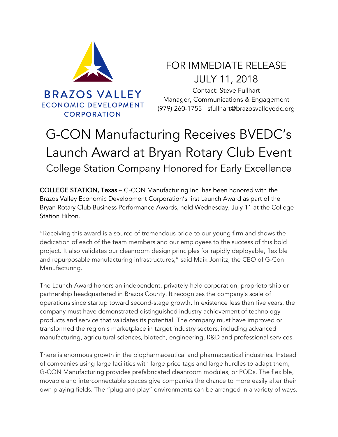

FOR IMMEDIATE RELEASE JULY 11, 2018

Contact: Steve Fullhart Manager, Communications & Engagement (979) 260-1755 sfullhart@brazosvalleyedc.org

## G-CON Manufacturing Receives BVEDC's Launch Award at Bryan Rotary Club Event College Station Company Honored for Early Excellence

COLLEGE STATION, Texas – G-CON Manufacturing Inc. has been honored with the Brazos Valley Economic Development Corporation's first Launch Award as part of the Bryan Rotary Club Business Performance Awards, held Wednesday, July 11 at the College Station Hilton.

"Receiving this award is a source of tremendous pride to our young firm and shows the dedication of each of the team members and our employees to the success of this bold project. It also validates our cleanroom design principles for rapidly deployable, flexible and repurposable manufacturing infrastructures," said Maik Jornitz, the CEO of G-Con Manufacturing.

The Launch Award honors an independent, privately-held corporation, proprietorship or partnership headquartered in Brazos County. It recognizes the company's scale of operations since startup toward second-stage growth. In existence less than five years, the company must have demonstrated distinguished industry achievement of technology products and service that validates its potential. The company must have improved or transformed the region's marketplace in target industry sectors, including advanced manufacturing, agricultural sciences, biotech, engineering, R&D and professional services.

There is enormous growth in the biopharmaceutical and pharmaceutical industries. Instead of companies using large facilities with large price tags and large hurdles to adapt them, G-CON Manufacturing provides prefabricated cleanroom modules, or PODs. The flexible, movable and interconnectable spaces give companies the chance to more easily alter their own playing fields. The "plug and play" environments can be arranged in a variety of ways.